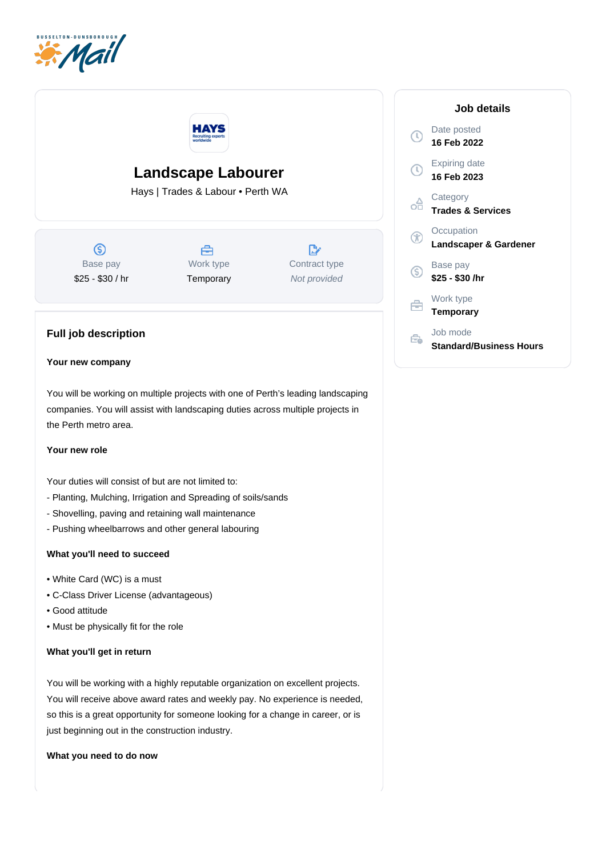



# **Landscape Labourer**

Hays | Trades & Labour • Perth WA

ெ Base pay \$25 - \$30 / hr



 $\mathbb{R}$ Contract type Not provided

#### **Job details** Date posted  $\mathcal{O}$ **16 Feb 2022** Expiring date  $\left(\mathbb{C}\right)$ **16 Feb 2023 Category** oa **Trades & Services Occupation** GO **Landscaper & Gardener** Base pay (S) **\$25 - \$30 /hr** Work type 白 **Temporary** Job mode Ê. **Standard/Business Hours**

# **Full job description**

#### **Your new company**

You will be working on multiple projects with one of Perth's leading landscaping companies. You will assist with landscaping duties across multiple projects in the Perth metro area.

#### **Your new role**

- Your duties will consist of but are not limited to:
- Planting, Mulching, Irrigation and Spreading of soils/sands
- Shovelling, paving and retaining wall maintenance
- Pushing wheelbarrows and other general labouring

## **What you'll need to succeed**

- White Card (WC) is a must
- C-Class Driver License (advantageous)
- Good attitude
- Must be physically fit for the role

## **What you'll get in return**

You will be working with a highly reputable organization on excellent projects. You will receive above award rates and weekly pay. No experience is needed, so this is a great opportunity for someone looking for a change in career, or is just beginning out in the construction industry.

**What you need to do now**